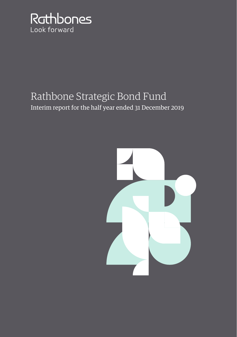

# Rathbone Strategic Bond Fund Interim report for the half year ended 31 December 2019

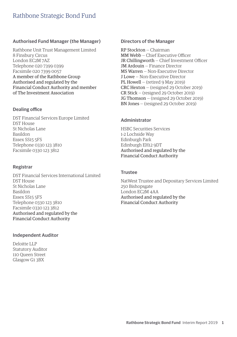#### **Authorised Fund Manager (the Manager)**

Rathbone Unit Trust Management Limited 8 Finsbury Circus London EC2M 7AZ Telephone 020 7399 0399 Facsimile 020 7399 0057 A member of the Rathbone Group Authorised and regulated by the Financial Conduct Authority and member of The Investment Association

#### **Dealing office**

DST Financial Services Europe Limited DST House St Nicholas Lane Basildon Essex SS15 5FS Telephone 0330 123 3810 Facsimile 0330 123 3812

#### **Registrar**

DST Financial Services International Limited DST House St Nicholas Lane Basildon Essex SS15 5FS Telephone 0330 123 3810 Facsimile 0330 123 3812 Authorised and regulated by the Financial Conduct Authority

#### **Independent Auditor**

Deloitte LLP Statutory Auditor 110 Queen Street Glasgow G1 3BX

#### **Directors of the Manager**

RP Stockton — Chairman MM Webb — Chief Executive Officer JR Chillingworth — Chief Investment Officer JM Ardouin — Finance Director MS Warren — Non-Executive Director J Lowe — Non-Executive Director PL Howell — (retired 9 May 2019) CRC Hexton — (resigned 29 October 2019) CR Stick — (resigned 29 October 2019) JG Thomson — (resigned 29 October 2019) BN Jones — (resigned 29 October 2019)

#### **Administrator**

HSBC Securities Services 1-2 Lochside Way Edinburgh Park Edinburgh EH12 9DT Authorised and regulated by the Financial Conduct Authority

#### **Trustee**

NatWest Trustee and Depositary Services Limited 250 Bishopsgate London EC2M 4AA Authorised and regulated by the Financial Conduct Authority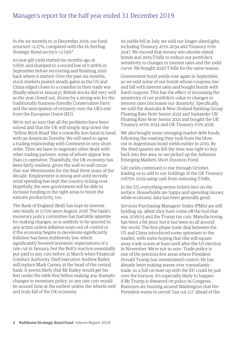### Manager's report for the half year ended 31 December 2019

In the six months to 31 December 2019, our fund returned +2.27%, compared with the IA Sterling Strategic Bond sector's +2.79%\*.

10-year gilt yield started six months ago at 0.83% and slumped to a record low of 0.406% in September before recovering and finishing 2019 back where it started. Over the past six months, stock markets posted steady gains as the US and China edged closer to a ceasefire in their trade war (finally inked in January). British stocks did very well as the year closed out, driven by a strong win for the traditionally business-friendly Conservative Party and the anticipation of certainty over the UK's exit from the European Union (EU).

We're not so sure that all the problems have been solved and that the UK will simply skip down the 'Yellow Brick Road' like a cowardly lion hand in hand with an American Dorothy. We still need to agree a trading relationship with Continent in very short order. Then we have to negotiate other deals with other trading partners, some of whom appear less than co-operative. Thankfully, the UK economy has been fairly resilient, given the wall-to-wall circus that was Westminster for the final three years of the decade. Employment is strong and until recently retail spending has kept the country ticking over. Hopefully, the new government will be able to increase funding in the right areas to boost the nation's productivity, too.

The Bank of England (BoE) has kept its interest rate steady at 0.75% since August 2018. The bank's monetary policy committee has had little appetite for making changes, so is unlikely to be spurred to any action unless inflation soars out of control or if the economy begins to decelerate significantly. Inflation has been stubbornly low, which significantly boosted investors' expectations of a rate cut in January, but the BoE's reaction essentially put paid to any cuts before 31 March when Financial Conduct Authority chief executive Andrew Bailey will replace Mark Carney at the head of the central bank. It seems likely that Mr Bailey would get his feet under the table first before making any dramatic changes to monetary policy, so any rate cuts would be around June at the earliest unless the wheels well and truly fall of the UK economy.

As yields fell in July, we sold our longer-dated gilts, including Treasury 4½% 2034 and Treasury 1½% 2047. We moved that money into shorter-dated bonds and 2019 T-bills to reduce our portfolio's sensitivity to changes in interest rates and the yield curve. We bought 2020 T-bills for the same reason.

Government bond yields rose again in September, so we sold some of our bonds whose coupons rise and fall with interest rates and bought bonds with fixed coupons. This has the effect of increasing the sensitivity of our portfolio's value to changes in interest rates (increases our duration). Specifically, we sold the Australia & New Zealand Banking Group Floating Rate Note Senior 2022 and Santander UK Floating Rate Note Senior 2021 and bought the UK Treasury 4½% 2034 and UK Treasury 1½% 2026.

We also bought some emerging market debt funds, following the roasting they took from the blowout in Argentinian bond yields earlier in 2019. By the third quarter we felt the time was right to buy back into this area, so we picked up the Ashmore Emerging Markets Short Duration Fund.

Gilt yields continued to rise through October, leading us to add to our holdings of the UK Treasury 0.875% 2029 using cash from maturing T-bills.

In the US, everything seems tickety-boo on the surface. Households are happy and spending money, while economic data has been generally good.

Services Purchasing Managers' Index (PMIs) are still holding up, albeit they have come off the boil that was 2018/19 and the Trump tax cuts. Manufacturing has been a bit poor, but it has been so all around the world. The first-phase trade deal between the US and China introduced some optimism to the market, with some hoping that this will square away trade scares at least until after the US election in November. We're not so sure. Trade policy is one of the precious few areas where President Donald Trump has unrestrained control. He has already been making waves over transatlantic trade, so a full-on bust-up with the EU could be just over the horizon. It's especially likely to happen if Mr Trump is thwarted on policy in Congress. Rumours are buzzing around Washington that the President wants to unveil "tax cut 2.0" ahead of the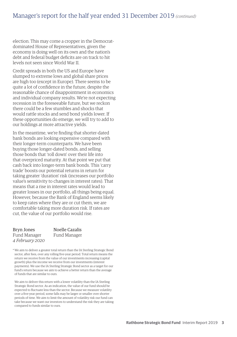### Manager's report for the half year ended 31 December 2019 *(continued)*

election. This may come a cropper in the Democratdominated House of Representatives, given the economy is doing well on its own and the nation's debt and federal budget deficits are on track to hit levels not seen since World War II.

Credit spreads in both the US and Europe have slumped to extreme lows and global share prices are high too (except in Europe). There seems to be quite a lot of confidence in the future, despite the reasonable chance of disappointment in economics and individual company results. We're not expecting recession in the foreseeable future, but we reckon there could be a few stumbles and shocks that would rattle stocks and send bond yields lower. If these opportunities do emerge, we will try to add to our holdings at more attractive yields.

In the meantime, we're finding that shorter-dated bank bonds are looking expensive compared with their longer-term counterparts. We have been buying those longer-dated bonds, and selling those bonds that 'roll down' over their life into that overpriced maturity. At that point we put that cash back into longer-term bank bonds. This 'carry trade' boosts our potential returns in return for taking greater 'duration' risk (increases our portfolio value's sensitivity to changes in interest rates). That means that a rise in interest rates would lead to greater losses in our portfolio, all things being equal. However, because the Bank of England seems likely to keep rates where they are or cut them, we are comfortable taking more duration risk. If rates are cut, the value of our portfolio would rise.

Bryn Jones Noelle Cazalis Fund Manager Fund Manager *4 February 2020*

\* We aim to deliver a greater total return than the IA Sterling Strategic Bond sector, after fees, over any rolling five-year period. Total return means the return we receive from the value of our investments increasing (capital growth) plus the income we receive from our investments (interest payments). We use the IA Sterling Strategic Bond sector as a target for our fund's return because we aim to achieve a better return than the average of funds that are similar to ours.

We aim to deliver this return with a lower volatility than the IA Sterling Strategic Bond sector. As an indication, the value of our fund should be expected to fluctuate less than the sector. Because we measure volatility over a five-year period, some falls may be larger or smaller over shorter periods of time. We aim to limit the amount of volatility risk our fund can take because we want our investors to understand the risk they are taking compared to funds similar to ours.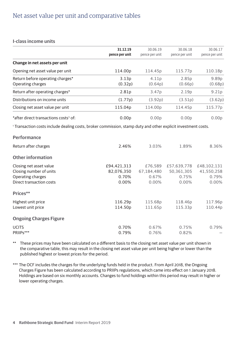### Net asset value per unit and comparative tables

#### **I-class income units**

|                                                                                                                          | 31.12.19<br>pence per unit | 30.06.19<br>pence per unit | 30.06.18<br>pence per unit | 30.06.17<br>pence per unit |
|--------------------------------------------------------------------------------------------------------------------------|----------------------------|----------------------------|----------------------------|----------------------------|
|                                                                                                                          |                            |                            |                            |                            |
| Change in net assets per unit                                                                                            |                            |                            |                            |                            |
| Opening net asset value per unit                                                                                         | 114.00p                    | 114.45p                    | 115.77p                    | 110.18p                    |
| Return before operating charges*                                                                                         | 3.13p                      | 4.11p                      | 2.85p                      | 9.89p                      |
| Operating charges                                                                                                        | (0.32p)                    | (0.64p)                    | (0.66p)                    | (0.68p)                    |
| Return after operating charges*                                                                                          | 2.81p                      | 3.47p                      | 2.19 <sub>p</sub>          | 9.21 <sub>p</sub>          |
| Distributions on income units                                                                                            | (1.77p)                    | (3.92p)                    | (3.51p)                    | (3.62p)                    |
| Closing net asset value per unit                                                                                         | 115.04p                    | 114.00p                    | 114.45 <sub>p</sub>        | 115.77p                    |
| *after direct transactions costs <sup>1</sup> of:                                                                        | 0.00 <sub>p</sub>          | 0.00 <sub>p</sub>          | 0.00 <sub>p</sub>          | 0.00 <sub>p</sub>          |
| <sup>1</sup> Transaction costs include dealing costs, broker commission, stamp duty and other explicit investment costs. |                            |                            |                            |                            |
| Performance                                                                                                              |                            |                            |                            |                            |
| Return after charges                                                                                                     | 2.46%                      | 3.03%                      | 1.89%                      | 8.36%                      |
| <b>Other information</b>                                                                                                 |                            |                            |                            |                            |
| Closing net asset value                                                                                                  | £94,421,313                | £76,589                    | £57,639,778                | £48,102,131                |
| Closing number of units                                                                                                  | 82,076,350                 | 67,184,480                 | 50,361,305                 | 41,550,258                 |
| Operating charges                                                                                                        | 0.70%                      | 0.67%                      | 0.75%                      | 0.79%                      |
| Direct transaction costs                                                                                                 | 0.00%                      | 0.00%                      | 0.00%                      | 0.00%                      |
| Prices**                                                                                                                 |                            |                            |                            |                            |
| Highest unit price                                                                                                       | 116.29p                    | 115.68p                    | 118.46p                    | 117.96p                    |
| Lowest unit price                                                                                                        | 114.50p                    | 111.65p                    | 115.33p                    | 110.44p                    |
| <b>Ongoing Charges Figure</b>                                                                                            |                            |                            |                            |                            |
| <b>UCITS</b>                                                                                                             | 0.70%                      | 0.67%                      | 0.75%                      | 0.79%                      |
| PRIIPs***                                                                                                                | 0.79%                      | 0.76%                      | 0.82%                      |                            |

\*\* These prices may have been calculated on a different basis to the closing net asset value per unit shown in the comparative table, this may result in the closing net asset value per unit being higher or lower than the published highest or lowest prices for the period.

\*\*\* The OCF includes the charges for the underlying funds held in the product. From April 2018, the Ongoing Charges Figure has been calculated according to PRIIPs regulations, which came into effect on 1 January 2018. Holdings are based on six monthly accounts. Changes to fund holdings within this period may result in higher or lower operating charges.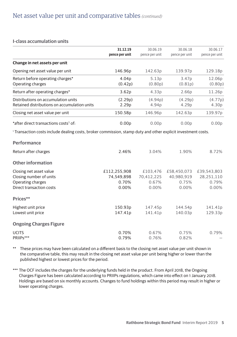#### **I-class accumulation units**

|                                                                                                                          | 31.12.19          | 30.06.19          | 30.06.18          | 30.06.17          |
|--------------------------------------------------------------------------------------------------------------------------|-------------------|-------------------|-------------------|-------------------|
|                                                                                                                          | pence per unit    | pence per unit    | pence per unit    | pence per unit    |
| Change in net assets per unit                                                                                            |                   |                   |                   |                   |
| Opening net asset value per unit                                                                                         | 146.96p           | 142.63p           | 139.97p           | 129.18p           |
| Return before operating charges*                                                                                         | 4.04p             | 5.13p             | 3.47p             | 12.06p            |
| Operating charges                                                                                                        | (0.42p)           | (0.80p)           | (0.81p)           | (0.80p)           |
| Return after operating charges*                                                                                          | 3.62p             | 4.33 <sub>p</sub> | 2.66p             | 11.26p            |
| Distributions on accumulation units                                                                                      | (2.29p)           | (4.94p)           | (4.29p)           | (4.77p)           |
| Retained distributions on accumulation units                                                                             | 2.29 <sub>p</sub> | 4.94p             | 4.29p             | 4.30p             |
| Closing net asset value per unit                                                                                         | 150.58p           | 146.96p           | 142.63p           | 139.97p           |
| *after direct transactions costs <sup>1</sup> of:                                                                        | 0.00 <sub>p</sub> | 0.00 <sub>p</sub> | 0.00 <sub>p</sub> | 0.00 <sub>p</sub> |
| <sup>1</sup> Transaction costs include dealing costs, broker commission, stamp duty and other explicit investment costs. |                   |                   |                   |                   |
| Performance                                                                                                              |                   |                   |                   |                   |
| Return after charges                                                                                                     | 2.46%             | 3.04%             | 1.90%             | 8.72%             |
| <b>Other information</b>                                                                                                 |                   |                   |                   |                   |
| Closing net asset value                                                                                                  | £112,255,908      | £103,476          | £58,450,073       | £39,543,803       |
| Closing number of units                                                                                                  | 74,549,898        | 70,412,225        | 40.980.919        | 28,251,110        |
| Operating charges                                                                                                        | 0.70%             | 0.67%             | 0.75%             | 0.79%             |
| Direct transaction costs                                                                                                 | 0.00%             | 0.00%             | $0.00\%$          | 0.00%             |
| Prices**                                                                                                                 |                   |                   |                   |                   |
| Highest unit price                                                                                                       | 150.93p           | 147.45p           | 144.54p           | 141.41p           |
| Lowest unit price                                                                                                        | 147.41p           | 141.41p           | 140.03p           | 129.33p           |
| <b>Ongoing Charges Figure</b>                                                                                            |                   |                   |                   |                   |
| <b>UCITS</b>                                                                                                             | 0.70%             | 0.67%             | 0.75%             | 0.79%             |
| PRIIPs***                                                                                                                | 0.79%             | 0.76%             | 0.82%             |                   |

\*\* These prices may have been calculated on a different basis to the closing net asset value per unit shown in the comparative table, this may result in the closing net asset value per unit being higher or lower than the published highest or lowest prices for the period.

\*\*\* The OCF includes the charges for the underlying funds held in the product. From April 2018, the Ongoing Charges Figure has been calculated according to PRIIPs regulations, which came into effect on 1 January 2018. Holdings are based on six monthly accounts. Changes to fund holdings within this period may result in higher or lower operating charges.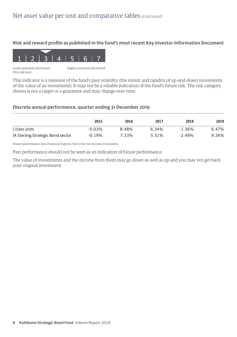#### **Risk and reward profile as published in the fund's most recent Key Investor Information Document**



(Not risk-free)

This indicator is a measure of the fund's past volatility (the extent and rapidity of up-and-down movements of the value of an investment). It may not be a reliable indication of the fund's future risk. The risk category shown is not a target or a guarantee and may change over time.

#### **Discrete annual performance, quarter ending 31 December 2019**

|                                   | 2015     | 2016  | 2017  | 2018     | 2019  |
|-----------------------------------|----------|-------|-------|----------|-------|
| I-class units                     | $-0.03%$ | 8.48% | 6.34% | $-1.36%$ | 6.47% |
| IA Sterling Strategic Bond sector | $-0.19%$ | 7.33% | 5.31% | $-2.49%$ | 9.26% |

Source performance data Financial Express, bid to bid, net income re-invested.

Past performance should not be seen as an indication of future performance.

The value of investments and the income from them may go down as well as up and you may not get back your original investment.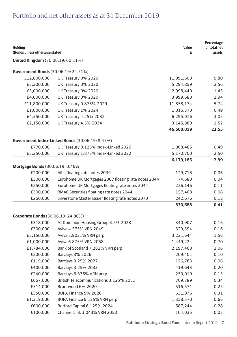# Portfolio and net other assets as at 31 December 2019

| <b>Holding</b><br>(Bonds unless otherwise stated) |                                                     | Value<br>£ | Percentage<br>of total net<br>assets |
|---------------------------------------------------|-----------------------------------------------------|------------|--------------------------------------|
| <b>United Kingdom</b> (30.06.19: 60.11%)          |                                                     |            |                                      |
| Government Bonds (30.06.19: 24.51%)               |                                                     |            |                                      |
| £12,000,000                                       | UK Treasury 0% 2020                                 | 11,991,600 | 5.80                                 |
| £5,300,000                                        | UK Treasury 0% 2020                                 | 5,294,859  | 2.56                                 |
| £3,000,000                                        | UK Treasury 0% 2020                                 | 2,998,440  | 1.45                                 |
| £4,000,000                                        | UK Treasury 0% 2020                                 | 3,999,680  | 1.94                                 |
| £11,800,000                                       | UK Treasury 0.875% 2029                             | 11,858,174 | 5.74                                 |
| £1,000,000                                        | UK Treasury 1% 2024                                 | 1,016,370  | 0.49                                 |
| £4,550,000                                        | UK Treasury 4.25% 2032                              | 6,295,016  | 3.05                                 |
| £2,150,000                                        | UK Treasury 4.5% 2034                               | 3,145,880  | 1.52                                 |
|                                                   |                                                     | 46,600,019 | 22.55                                |
|                                                   | Government Index-Linked Bonds (30.06.19: 8.47%)     |            |                                      |
| £770,000                                          | UK Treasury 0.125% Index-Linked 2026                | 1,008,485  | 0.49                                 |
| £3,250,000                                        | UK Treasury 1.875% Index-Linked 2022                | 5,170,700  | 2.50                                 |
|                                                   |                                                     | 6,179,185  | 2.99                                 |
| Mortgage Bonds (30.06.19: 0.46%)                  |                                                     |            |                                      |
| £200,000                                          | Alba floating rate notes 2039                       | 129,718    | 0.06                                 |
| £300,000                                          | Eurohome UK Mortgages 2007 floating rate notes 2044 | 74,680     | 0.04                                 |
| £250,000                                          | Eurohome UK Mortgages floating rate notes 2044      | 226,146    | 0.11                                 |
| £300,000                                          | RMAC Securities floating rate notes 2044            | 157,468    | 0.08                                 |
| £260,000                                          | Silverstone Master Issuer floating rate notes 2070  | 242,676    | 0.12                                 |
|                                                   |                                                     | 830,688    | 0.41                                 |
| Corporate Bonds (30.06.19: 24.86%)                |                                                     |            |                                      |
| £318,000                                          | A2Dominion Housing Group 3.5% 2028                  | 340,907    | 0.16                                 |
| £300,000                                          | Aviva 4.375% VRN 2049                               | 329,394    | 0.16                                 |
| £3,150,000                                        | Aviva 5.9021% VRN perp                              | 3,221,644  | 1.56                                 |
| £1,000,000                                        | Aviva 6.875% VRN 2058                               | 1,449,224  | 0.70                                 |
| £1,784,000                                        | Bank of Scotland 7.281% VRN perp                    | 2,197,460  | 1.06                                 |
| £200,000                                          | <b>Barclays 3% 2026</b>                             | 209,401    | 0.10                                 |
| £119,000                                          | Barclays 3.25% 2027                                 | 126,783    | 0.06                                 |
| £400,000                                          | Barclays 3.25% 2033                                 | 419,643    | 0.20                                 |
| £240,000                                          | Barclays 6.375% VRN perp                            | 259,010    | 0.13                                 |
| £667,000                                          | British Telecommunications 3.125% 2031              | 709,789    | 0.34                                 |
| £514,000                                          | Bruntwood 6% 2020                                   | 516,571    | 0.25                                 |
| £550,000                                          | BUPA Finance 5% 2026                                | 631,976    | 0.31                                 |
| £1,319,000                                        | BUPA Finance 6.125% VRN perp                        | 1,358,570  | 0.66                                 |
| £600,000                                          | Burford Capital 6.125% 2024                         | 587,244    | 0.28                                 |
| £100,000                                          | Channel Link 3.043% VRN 2050                        | 104,035    | 0.05                                 |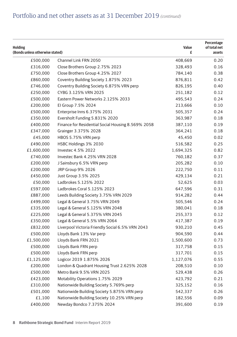| <b>Holding</b><br>(Bonds unless otherwise stated) |                                                    | Value<br>£ | Percentage<br>of total net<br>assets |
|---------------------------------------------------|----------------------------------------------------|------------|--------------------------------------|
| £500,000                                          | Channel Link FRN 2050                              | 408,669    | 0.20                                 |
| £316,000                                          | Close Brothers Group 2.75% 2023                    | 328,493    | 0.16                                 |
| £750,000                                          | Close Brothers Group 4.25% 2027                    | 784,140    | 0.38                                 |
| £860,000                                          | Coventry Building Society 1.875% 2023              | 876,811    | 0.42                                 |
| £746,000                                          | Coventry Building Society 6.875% VRN perp          | 826,195    | 0.40                                 |
| £250,000                                          | CYBG 3.125% VRN 2025                               | 251,182    | 0.12                                 |
| £500,000                                          | Eastern Power Networks 2.125% 2033                 | 495,543    | 0.24                                 |
| £200,000                                          | El Group 7.5% 2024                                 | 213,666    | 0.10                                 |
| £500,000                                          | Enterprise Inns 6.375% 2031                        | 505,357    | 0.24                                 |
| £350,000                                          | Eversholt Funding 5.831% 2020                      | 363,987    | 0.18                                 |
| £400,000                                          | Finance for Residential Social Housing 8.569% 2058 | 387,110    | 0.19                                 |
| £347,000                                          | Grainger 3.375% 2028                               | 364,241    | 0.18                                 |
| £45,000                                           | HBOS 5.75% VRN perp                                | 45,450     | 0.02                                 |
| £490,000                                          | HSBC Holdings 3% 2030                              | 516,582    | 0.25                                 |
| £1,600,000                                        | Investec 4.5% 2022                                 | 1,694,325  | 0.82                                 |
| £740,000                                          | Investec Bank 4.25% VRN 2028                       | 760,182    | 0.37                                 |
| £200,000                                          | J Sainsbury 6.5% VRN perp                          | 205,282    | 0.10                                 |
| £200,000                                          | JRP Group 9% 2026                                  | 222,750    | 0.11                                 |
| £450,000                                          | Just Group 3.5% 2025                               | 429,134    | 0.21                                 |
| £50,000                                           | Ladbrokes 5.125% 2022                              | 52,625     | 0.03                                 |
| £597,000                                          | Ladbrokes Coral 5.125% 2023                        | 647,596    | 0.31                                 |
| £887,000                                          | Leeds Building Society 3.75% VRN 2029              | 914,282    | 0.44                                 |
| £499,000                                          | Legal & General 3.75% VRN 2049                     | 505,546    | 0.24                                 |
| £335,000                                          | Legal & General 5.125% VRN 2048                    | 380,041    | 0.18                                 |
| £225,000                                          | Legal & General 5.375% VRN 2045                    | 255,373    | 0.12                                 |
| £350,000                                          | Legal & General 5.5% VRN 2064                      | 417,387    | 0.19                                 |
| £832,000                                          | Liverpool Victoria Friendly Social 6.5% VRN 2043   | 930,210    | 0.45                                 |
| £500,000                                          | Lloyds Bank 13% Var perp                           | 904,590    | 0.44                                 |
| £1,500,000                                        | Lloyds Bank FRN 2021                               | 1,500,600  | 0.73                                 |
| £500,000                                          | Lloyds Bank FRN perp                               | 317,758    | 0.15                                 |
| £500,000                                          | Lloyds Bank FRN perp                               | 317,701    | 0.15                                 |
| £1,125,000                                        | Logicor 2019 1.875% 2026                           | 1,127,076  | 0.55                                 |
| £200,000                                          | London & Quadrant Housing Trust 2.625% 2028        | 208,510    | 0.10                                 |
| £500,000                                          | Metro Bank 9.5% VRN 2025                           | 529,438    | 0.26                                 |
| £423,000                                          | Motability Operations 1.75% 2029                   | 423,792    | 0.21                                 |
| £310,000                                          | Nationwide Building Society 5.769% perp            | 325,152    | 0.16                                 |
| £501,000                                          | Nationwide Building Society 5.875% VRN perp        | 542,337    | 0.26                                 |
| £1,100                                            | Nationwide Building Society 10.25% VRN perp        | 182,556    | 0.09                                 |
| £400,000                                          | Newday Bondco 7.375% 2024                          | 391,600    | 0.19                                 |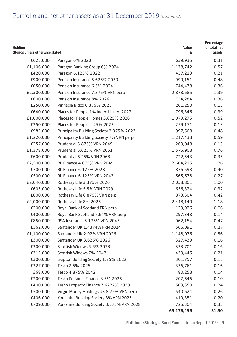| <b>Holding</b><br>(Bonds unless otherwise stated) |                                                              | Value<br>£ | Percentage<br>of total net<br>assets |
|---------------------------------------------------|--------------------------------------------------------------|------------|--------------------------------------|
| £625,000                                          | Paragon 6% 2020                                              | 639,935    | 0.31                                 |
| £1,106,000                                        | Paragon Banking Group 6% 2024                                | 1,178,742  | 0.57                                 |
| £420,000                                          | Paragon 6.125% 2022                                          | 437,213    | 0.21                                 |
|                                                   |                                                              |            | 0.48                                 |
| £900,000                                          | Pension Insurance 5.625% 2030<br>Pension Insurance 6.5% 2024 | 999,151    | 0.36                                 |
| £650,000<br>£2,500,000                            | Pension Insurance 7.375% VRN perp                            | 744,478    | 1.39                                 |
|                                                   |                                                              | 2,878,685  | 0.36                                 |
| £600,000                                          | Pension Insurance 8% 2026<br>Pinnacle Bidco 6.375% 2025      | 754,284    | 0.13                                 |
| £250,000                                          |                                                              | 261,250    |                                      |
| £640,000                                          | Places for People 1% Index-Linked 2022                       | 796,346    | 0.39                                 |
| £1,000,000                                        | Places for People Homes 3.625% 2028                          | 1,079,275  | 0.52                                 |
| £250,000                                          | Places for People 4.25% 2023                                 | 259,171    | 0.13                                 |
| £983,000                                          | Principality Building Society 2.375% 2023                    | 997,568    | 0.48                                 |
| £1,220,000                                        | Principality Building Society 7% VRN perp                    | 1,217,438  | 0.59                                 |
| £257,000                                          | Prudential 3.875% VRN 2049                                   | 263,048    | 0.13                                 |
| £1,378,000                                        | Prudential 5.625% VRN 2051                                   | 1,575,908  | 0.76                                 |
| £600,000                                          | Prudential 6.25% VRN 2068                                    | 722,543    | 0.35                                 |
| £2,500,000                                        | RL Finance 4.875% VRN 2049                                   | 2,604,225  | 1.26                                 |
| £700,000                                          | RL Finance 6.125% 2028                                       | 836,598    | 0.40                                 |
| £500,000                                          | RL Finance 6.125% VRN 2043                                   | 565,678    | 0.27                                 |
| £2,040,000                                        | Rothesay Life 3.375% 2026                                    | 2,058,801  | 1.00                                 |
| £605,000                                          | Rothesay Life 5.5% VRN 2029                                  | 656,324    | 0.32                                 |
| £800,000                                          | Rothesay Life 6.875% VRN perp                                | 873,504    | 0.42                                 |
| £2,000,000                                        | Rothesay Life 8% 2025                                        | 2,448,140  | 1.18                                 |
| £200,000                                          | Royal Bank of Scotland FRN perp                              | 129,926    | 0.06                                 |
| £400,000                                          | Royal Bank Scotland 7.64% VRN perp                           | 297,348    | 0.14                                 |
| £850,000                                          | RSA Insurance 5.125% VRN 2045                                | 962,154    | 0.47                                 |
| £562,000                                          | Santander UK 1.4374% FRN 2024                                | 566,091    | 0.27                                 |
| £1,100,000                                        | Santander UK 2.92% VRN 2026                                  | 1,148,076  | 0.56                                 |
| £300,000                                          | Santander UK 3.625% 2026                                     | 327,439    | 0.16                                 |
| £300,000                                          | Scottish Widows 5.5% 2023                                    | 333,701    | 0.16                                 |
| £315,000                                          | Scottish Widows 7% 2043                                      | 433,445    | 0.21                                 |
| £300,000                                          | Skipton Building Society 1.75% 2022                          | 301,757    | 0.15                                 |
| £327,000                                          | Tesco 2.5% 2025                                              | 336,761    | 0.16                                 |
| £68,000                                           | Tesco 4.875% 2042                                            | 80,258     | 0.04                                 |
| £200,000                                          | Tesco Personal Finance 3.5% 2025                             | 207,646    | 0.10                                 |
| £400,000                                          | Tesco Property Finance 7.6227% 2039                          | 503,350    | 0.24                                 |
| £500,000                                          | Virgin Money Holdings UK 8.75% VRN perp                      | 540,624    | 0.26                                 |
| £406,000                                          | Yorkshire Building Society 3% VRN 2025                       | 419,351    | 0.20                                 |
| £709,000                                          | Yorkshire Building Society 3.375% VRN 2028                   | 725,304    | 0.35                                 |
|                                                   |                                                              | 65,176,456 | 31.50                                |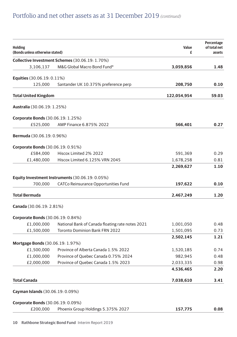| <b>Holding</b><br>(Bonds unless otherwise stated) |                                                  | Value<br>£  | Percentage<br>of total net<br>assets |
|---------------------------------------------------|--------------------------------------------------|-------------|--------------------------------------|
|                                                   | Collective Investment Schemes (30.06.19: 1.70%)  |             |                                      |
| 3,106,137                                         | M&G Global Macro Bond Fund*                      | 3,059,856   | 1.48                                 |
| <b>Equities</b> (30.06.19: 0.11%)                 |                                                  |             |                                      |
| 125,000                                           | Santander UK 10.375% preference perp             | 208,750     | 0.10                                 |
|                                                   |                                                  |             |                                      |
| Total United Kingdom                              |                                                  | 122,054,954 | 59.03                                |
| <b>Australia</b> (30.06.19: 1.25%)                |                                                  |             |                                      |
| <b>Corporate Bonds</b> (30.06.19: 1.25%)          |                                                  |             |                                      |
| £525,000                                          | AMP Finance 6.875% 2022                          | 566,401     | 0.27                                 |
| <b>Bermuda</b> (30.06.19: 0.96%)                  |                                                  |             |                                      |
| <b>Corporate Bonds</b> (30.06.19: 0.91%)          |                                                  |             |                                      |
| £584,000                                          | Hiscox Limited 2% 2022                           | 591,369     | 0.29                                 |
| £1,480,000                                        | Hiscox Limited 6.125% VRN 2045                   | 1,678,258   | 0.81                                 |
|                                                   |                                                  | 2,269,627   | 1.10                                 |
|                                                   | Equity Investment Instruments (30.06.19: 0.05%)  |             |                                      |
| 700,000                                           | CATCo Reinsurance Opportunities Fund             | 197,622     | 0.10                                 |
| Total Bermuda                                     |                                                  | 2,467,249   | 1.20                                 |
| Canada (30.06.19: 2.81%)                          |                                                  |             |                                      |
| <b>Corporate Bonds</b> (30.06.19: 0.84%)          |                                                  |             |                                      |
| £1,000,000                                        | National Bank of Canada floating rate notes 2021 | 1,001,050   | 0.48                                 |
| £1,500,000                                        | <b>Toronto Dominion Bank FRN 2022</b>            | 1,501,095   | 0.73                                 |
|                                                   |                                                  | 2,502,145   | 1.21                                 |
| <b>Mortgage Bonds (30.06.19: 1.97%)</b>           |                                                  |             |                                      |
| £1,500,000                                        | Province of Alberta Canada 1.5% 2022             | 1,520,185   | 0.74                                 |
| £1,000,000                                        | Province of Quebec Canada 0.75% 2024             | 982,945     | 0.48                                 |
| £2,000,000                                        | Province of Quebec Canada 1.5% 2023              | 2,033,335   | 0.98                                 |
|                                                   |                                                  | 4,536,465   | 2.20                                 |
| <b>Total Canada</b>                               |                                                  | 7,038,610   | 3.41                                 |
| <b>Cayman Islands</b> (30.06.19: 0.09%)           |                                                  |             |                                      |
| <b>Corporate Bonds</b> (30.06.19: 0.09%)          |                                                  |             |                                      |
| £200,000                                          | Phoenix Group Holdings 5.375% 2027               | 157.775     | 0.08                                 |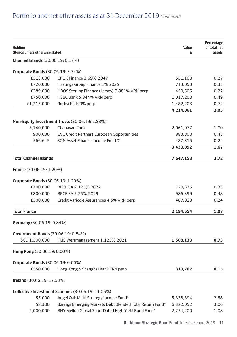| <b>Holding</b>                            |                                                          | Value     | Percentage<br>of total net |
|-------------------------------------------|----------------------------------------------------------|-----------|----------------------------|
| (Bonds unless otherwise stated)           |                                                          | £         | assets                     |
| <b>Channel Islands</b> (30.06.19: 6.17%)  |                                                          |           |                            |
| <b>Corporate Bonds</b> (30.06.19: 3.34%)  |                                                          |           |                            |
| £513,000                                  | <b>CPUK Finance 3.69% 2047</b>                           | 551,100   | 0.27                       |
| £720,000                                  | Hastings Group Finance 3% 2025                           | 713,053   | 0.35                       |
| £289,000                                  | HBOS Sterling Finance (Jersey) 7.881% VRN perp           | 450,505   | 0.22                       |
| £750,000                                  | HSBC Bank 5.844% VRN perp                                | 1,017,200 | 0.49                       |
| £1,215,000                                | Rothschilds 9% perp                                      | 1,482,203 | 0.72                       |
|                                           |                                                          | 4,214,061 | 2.05                       |
|                                           | Non-Equity Investment Trusts (30.06.19: 2.83%)           |           |                            |
| 3,140,000                                 | Chenavari Toro                                           | 2,061,977 | 1.00                       |
| 900,000                                   | CVC Credit Partners European Opportunities               | 883,800   | 0.43                       |
| 566,645                                   | SQN Asset Finance Income Fund 'C'                        | 487,315   | 0.24                       |
|                                           |                                                          | 3,433,092 | 1.67                       |
| <b>Total Channel Islands</b>              |                                                          | 7,647,153 | 3.72                       |
| <b>France</b> (30.06.19: 1.20%)           |                                                          |           |                            |
| Corporate Bonds (30.06.19: 1.20%)         |                                                          |           |                            |
| £700,000                                  | BPCE SA 2.125% 2022                                      | 720,335   | 0.35                       |
| £800,000                                  | BPCE SA 5.25% 2029                                       | 986,399   | 0.48                       |
| £500,000                                  | Credit Agricole Assurances 4.5% VRN perp                 | 487,820   | 0.24                       |
| <b>Total France</b>                       |                                                          | 2,194,554 | 1.07                       |
|                                           |                                                          |           |                            |
| Germany (30.06.19: 0.84%)                 |                                                          |           |                            |
| <b>Government Bonds</b> (30.06.19: 0.84%) |                                                          |           |                            |
| SGD 1,500,000                             | FMS Wertmanagement 1.125% 2021                           | 1,508,133 | 0.73                       |
| Hong Kong (30.06.19: 0.00%)               |                                                          |           |                            |
| <b>Corporate Bonds (30.06.19: 0.00%)</b>  |                                                          |           |                            |
| £550,000                                  | Hong Kong & Shanghai Bank FRN perp                       | 319,707   | 0.15                       |
| Ireland (30.06.19: 12.53%)                |                                                          |           |                            |
|                                           | Collective Investment Schemes (30.06.19: 11.05%)         |           |                            |
| 55,000                                    | Angel Oak Multi Strategy Income Fund*                    | 5,338,394 | 2.58                       |
| 58,300                                    | Barings Emerging Markets Debt Blended Total Return Fund* | 6,322,052 | 3.06                       |
| 2,000,000                                 | BNY Mellon Global Short Dated High Yield Bond Fund*      | 2,234,200 | 1.08                       |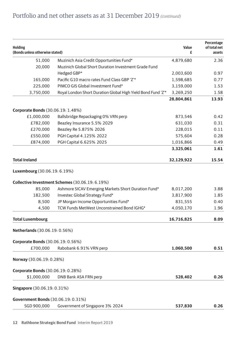| <b>Holding</b><br>(Bonds unless otherwise stated) |                                                              | Value<br>£ | Percentage<br>of total net<br>assets |
|---------------------------------------------------|--------------------------------------------------------------|------------|--------------------------------------|
| 51,000                                            | Muzinich Asia Credit Opportunities Fund*                     | 4,879,680  | 2.36                                 |
| 20,000                                            | Muzinich Global Short Duration Investment Grade Fund         |            |                                      |
|                                                   | Hedged GBP*                                                  | 2,003,600  | 0.97                                 |
| 165,000                                           | Pacific G10 macro rates Fund Class GBP 'Z'*                  | 1,598,685  | 0.77                                 |
| 225,000                                           | PIMCO GIS Global Investment Fund*                            | 3,159,000  | 1.53                                 |
| 3,750,000                                         | Royal London Short Duration Global High Yield Bond Fund 'Z'* | 3,269,250  | 1.58                                 |
|                                                   |                                                              | 28,804,861 | 13.93                                |
| <b>Corporate Bonds</b> (30.06.19: 1.48%)          |                                                              |            |                                      |
| £1,000,000                                        | Ballsbridge Repackaging 0% VRN perp                          | 873,546    | 0.42                                 |
| £782,000                                          | Beazley Insurance 5.5% 2029                                  | 631,030    | 0.31                                 |
| £270,000                                          | Beazley Re 5.875% 2026                                       | 228,015    | 0.11                                 |
| £550,000                                          | PGH Capital 4.125% 2022                                      | 575,604    | 0.28                                 |
| £874,000                                          | PGH Capital 6.625% 2025                                      | 1,016,866  | 0.49                                 |
|                                                   |                                                              | 3,325,061  | 1.61                                 |
| <b>Total Ireland</b>                              |                                                              | 32,129,922 | 15.54                                |
| <b>Luxembourg</b> (30.06.19: 6.19%)               |                                                              |            |                                      |
|                                                   | Collective Investment Schemes (30.06.19: 6.19%)              |            |                                      |
| 85,000                                            | Ashmore SICAV Emerging Markets Short Duration Fund*          | 8,017,200  | 3.88                                 |
| 182,500                                           | Investec Global Strategy Fund*                               | 3,817,900  | 1.85                                 |
| 8,500                                             | JP Morgan Income Opportunities Fund*                         | 831,555    | 0.40                                 |
| 4,500                                             | TCW Funds MetWest Unconstrained Bond IGHG*                   | 4,050,170  | 1.96                                 |
| <b>Total Luxembourg</b>                           |                                                              | 16,716,825 | 8.09                                 |
| Netherlands (30.06.19: 0.56%)                     |                                                              |            |                                      |
| Corporate Bonds (30.06.19: 0.56%)                 |                                                              |            |                                      |
| £700,000                                          | Rabobank 6.91% VRN perp                                      | 1,060,500  | 0.51                                 |
| Norway (30.06.19: 0.28%)                          |                                                              |            |                                      |
| <b>Corporate Bonds (30.06.19: 0.28%)</b>          |                                                              |            |                                      |
| \$1,000,000                                       | DNB Bank ASA FRN perp                                        | 528,402    | 0.26                                 |
| <b>Singapore</b> (30.06.19: 0.31%)                |                                                              |            |                                      |
| <b>Government Bonds</b> (30.06.19: 0.31%)         |                                                              |            |                                      |
| SGD 900,000                                       | Government of Singapore 3% 2024                              | 537,830    | 0.26                                 |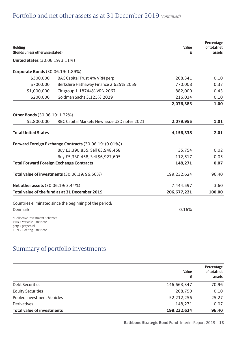| <b>Holding</b><br>(Bonds unless otherwise stated)                                                           |                                                         | Value<br>£  | Percentage<br>of total net<br>assets |
|-------------------------------------------------------------------------------------------------------------|---------------------------------------------------------|-------------|--------------------------------------|
| <b>United States (30.06.19: 3.11%)</b>                                                                      |                                                         |             |                                      |
| <b>Corporate Bonds</b> (30.06.19: 1.89%)                                                                    |                                                         |             |                                      |
| \$300.000                                                                                                   | BAC Capital Trust 4% VRN perp                           | 208.341     | 0.10                                 |
| \$700,000                                                                                                   | Berkshire Hathaway Finance 2.625% 2059                  | 770.008     | 0.37                                 |
| \$1,000,000                                                                                                 | Citigroup 1.18744% VRN 2067                             | 882,000     | 0.43                                 |
| \$200.000                                                                                                   | Goldman Sachs 3.125% 2029                               | 216,034     | 0.10                                 |
|                                                                                                             |                                                         | 2.076.383   | 1.00                                 |
| Other Bonds (30.06.19: 1.22%)                                                                               |                                                         |             |                                      |
| \$2,800,000                                                                                                 | RBC Capital Markets New Issue USD notes 2021            | 2,079,955   | 1.01                                 |
| <b>Total United States</b>                                                                                  |                                                         | 4,156,338   | 2.01                                 |
|                                                                                                             | Forward Foreign Exchange Contracts (30.06.19: (0.01%))  |             |                                      |
|                                                                                                             | Buy £3,390,855, Sell €3,948,458                         | 35.754      | 0.02                                 |
|                                                                                                             | Buy £5,330,458, Sell \$6,927,605                        | 112,517     | 0.05                                 |
|                                                                                                             | <b>Total Forward Foreign Exchange Contracts</b>         | 148.271     | 0.07                                 |
|                                                                                                             | Total value of investments (30.06.19: 96.56%)           | 199,232,624 | 96.40                                |
| Net other assets (30.06.19: 3.44%)                                                                          |                                                         | 7,444,597   | 3.60                                 |
|                                                                                                             | Total value of the fund as at 31 December 2019          | 206.677.221 | 100.00                               |
|                                                                                                             | Countries eliminated since the beginning of the period: |             |                                      |
| Denmark                                                                                                     |                                                         | 0.16%       |                                      |
| * Collective Investment Schemes<br>VRN = Variable Rate Note<br>perp = perpetual<br>FRN = Floating Rate Note |                                                         |             |                                      |

# Summary of portfolio investments

|                                   | Value<br>£  | Percentage<br>of total net<br>assets |
|-----------------------------------|-------------|--------------------------------------|
| <b>Debt Securities</b>            | 146,663,347 | 70.96                                |
| <b>Equity Securities</b>          | 208.750     | 0.10                                 |
| Pooled Investment Vehicles        | 52.212.256  | 25.27                                |
| <b>Derivatives</b>                | 148.271     | 0.07                                 |
| <b>Total value of investments</b> | 199.232.624 | 96.40                                |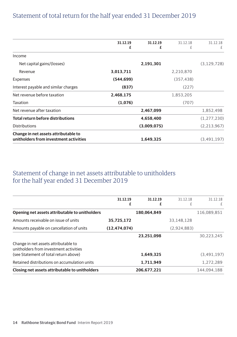|                                          | 31.12.19   | 31.12.19    | 31.12.18  | 31.12.18      |
|------------------------------------------|------------|-------------|-----------|---------------|
|                                          | £          | £           | £         | £             |
| Income                                   |            |             |           |               |
| Net capital gains/(losses)               |            | 2,191,301   |           | (3, 129, 728) |
| Revenue                                  | 3,013,711  |             | 2,210,870 |               |
| Expenses                                 | (544, 699) |             | (357,438) |               |
| Interest payable and similar charges     | (837)      |             | (227)     |               |
| Net revenue before taxation              | 2,468,175  |             | 1,853,205 |               |
| Taxation                                 | (1,076)    |             | (707)     |               |
| Net revenue after taxation               |            | 2,467,099   |           | 1,852,498     |
| <b>Total return before distributions</b> |            | 4,658,400   |           | (1, 277, 230) |
| <b>Distributions</b>                     |            | (3,009,075) |           | (2, 213, 967) |
| Change in net assets attributable to     |            |             |           |               |
| unitholders from investment activities   |            | 1,649,325   |           | (3,491,197)   |

# Statement of total return for the half year ended 31 December 2019

### Statement of change in net assets attributable to unitholders for the half year ended 31 December 2019

| 31.12.19<br>£ | 31.12.19<br>£ | 31.12.18<br>£ | 31.12.18<br>£ |
|---------------|---------------|---------------|---------------|
|               | 180.064.849   |               | 116.089.851   |
| 35.725.172    |               | 33.148.128    |               |
| (12.474.074)  |               | (2.924.883)   |               |
|               | 23.251.098    |               | 30.223.245    |
|               |               |               |               |
|               | 1.649.325     |               | (3,491,197)   |
|               | 1.711.949     |               | 1.272.289     |
|               | 206,677,221   |               | 144.094.188   |
|               |               |               |               |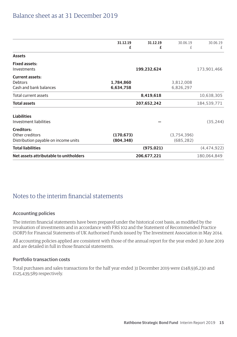### Balance sheet as at 31 December 2019

|                                                                              | 31.12.19<br>£            | 31.12.19<br>£ | 30.06.19<br>£             | 30.06.19<br>£ |
|------------------------------------------------------------------------------|--------------------------|---------------|---------------------------|---------------|
| <b>Assets</b>                                                                |                          |               |                           |               |
| <b>Fixed assets:</b><br>Investments                                          |                          | 199,232,624   |                           | 173,901,466   |
| <b>Current assets:</b><br><b>Debtors</b><br>Cash and bank balances           | 1,784,860<br>6,634,758   |               | 3,812,008<br>6,826,297    |               |
| Total current assets                                                         |                          | 8,419,618     |                           | 10,638,305    |
| <b>Total assets</b>                                                          |                          | 207,652,242   |                           | 184,539,771   |
| <b>Liabilities</b><br>Investment liabilities                                 |                          |               |                           | (35, 244)     |
| <b>Creditors:</b><br>Other creditors<br>Distribution payable on income units | (170, 673)<br>(804, 348) |               | (3,754,396)<br>(685, 282) |               |
| <b>Total liabilities</b>                                                     |                          | (975, 021)    |                           | (4, 474, 922) |
| Net assets attributable to unitholders                                       |                          | 206,677,221   |                           | 180,064,849   |

### Notes to the interim financial statements

#### **Accounting policies**

The interim financial statements have been prepared under the historical cost basis, as modified by the revaluation of investments and in accordance with FRS 102 and the Statement of Recommended Practice (SORP) for Financial Statements of UK Authorised Funds issued by The Investment Association in May 2014.

All accounting policies applied are consistent with those of the annual report for the year ended 30 June 2019 and are detailed in full in those financial statements.

#### **Portfolio transaction costs**

Total purchases and sales transactions for the half year ended 31 December 2019 were £148,936,230 and £125,439,589 respectively.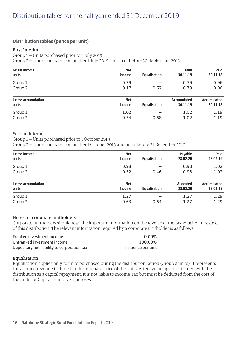#### **Distribution tables (pence per unit)**

#### First Interim

Group 1 — Units purchased prior to 1 July 2019

Group 2 — Units purchased on or after 1 July 2019 and on or before 30 September 2019

| <b>Net</b> |                     | Paid                | Paid               |
|------------|---------------------|---------------------|--------------------|
|            |                     |                     | 30.11.18           |
|            |                     |                     |                    |
| 0.79       |                     | 0.79                | 0.96               |
| 0.17       | 0.62                | 0.79                | 0.96               |
| <b>Net</b> |                     | <b>Accumulated</b>  | <b>Accumulated</b> |
| Income     | <b>Equalisation</b> | 30.11.19            | 30.11.18           |
| 1.02       |                     | 1.02                | 1.19               |
| 0.34       | 0.68                | 1.02                | 1.19               |
|            | Income              | <b>Equalisation</b> | 30.11.19           |

#### Second Interim

Group 1 — Units purchased prior to 1 October 2019

Group 2 — Units purchased on or after 1 October 2019 and on or before 31 December 2019

| I-class income              | Net        |                     | Payable          | Paid               |
|-----------------------------|------------|---------------------|------------------|--------------------|
| units                       | Income     | <b>Equalisation</b> | 28.02.20         | 28.02.19           |
| Group 1                     | 0.98       |                     | 0.98             | 1.02               |
| Group <sub>2</sub>          | 0.52       | 0.46                | 0.98             | 1.02               |
| <b>I-class accumulation</b> | <b>Net</b> |                     | <b>Allocated</b> | <b>Accumulated</b> |
| units                       | Income     | <b>Equalisation</b> | 28.02.20         | 28.02.19           |
| Group 1                     | 1.27       |                     | 1.27             | 1.29               |
| Group 2                     | 0.63       | 0.64                | 1.27             | 1.29               |

#### Notes for corporate unitholders

Corporate unitholders should read the important information on the reverse of the tax voucher in respect of this distribution. The relevant information required by a corporate unitholder is as follows:

| Franked investment income                   | $0.00\%$           |
|---------------------------------------------|--------------------|
| Unfranked investment income                 | 100.00%            |
| Depositary net liability to corporation tax | nil pence per unit |

#### Equalisation

Equalisation applies only to units purchased during the distribution period (Group 2 units). It represents the accrued revenue included in the purchase price of the units. After averaging it is returned with the distribution as a capital repayment. It is not liable to Income Tax but must be deducted from the cost of the units for Capital Gains Tax purposes.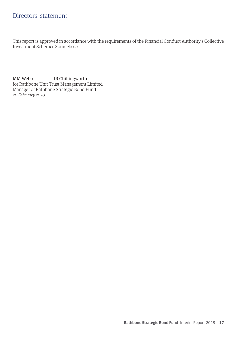### Directors' statement

This report is approved in accordance with the requirements of the Financial Conduct Authority's Collective Investment Schemes Sourcebook.

MM Webb JR Chillingworth for Rathbone Unit Trust Management Limited Manager of Rathbone Strategic Bond Fund *20 February 2020*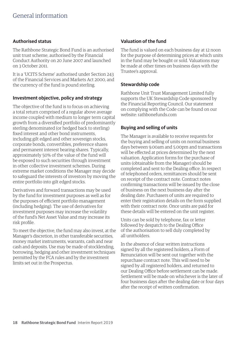#### **Authorised status**

The Rathbone Strategic Bond Fund is an authorised unit trust scheme, authorised by the Financial Conduct Authority on 20 June 2007 and launched on 3 October 2011.

It is a 'UCITS Scheme' authorised under Section 243 of the Financial Services and Markets Act 2000, and the currency of the fund is pound sterling.

#### **Investment objective, policy and strategy**

The objective of the fund is to focus on achieving a total return comprised of a regular above average income coupled with medium to longer term capital growth from a diversified portfolio of predominantly sterling denominated (or hedged back to sterling) fixed interest and other bond instruments, including gilt edged and other sovereign stocks, corporate bonds, convertibles, preference shares and permanent interest bearing shares. Typically, approximately 50% of the value of the fund will be exposed to such securities through investment in other collective investment schemes. During extreme market conditions the Manager may decide to safeguard the interests of investors by moving the entire portfolio into gilt edged stocks.

Derivatives and forward transactions may be used by the fund for investment purposes as well as for the purposes of efficient portfolio management (including hedging). The use of derivatives for investment purposes may increase the volatility of the fund's Net Asset Value and may increase its risk profile.

To meet the objective, the fund may also invest, at the Manager's discretion, in other transferable securities, money market instruments, warrants, cash and near cash and deposits. Use may be made of stocklending, borrowing, hedging and other investment techniques permitted by the FCA rules and by the investment limits set out in the Prospectus.

#### **Valuation of the fund**

The fund is valued on each business day at 12 noon for the purpose of determining prices at which units in the fund may be bought or sold. Valuations may be made at other times on business days with the Trustee's approval.

#### **Stewardship code**

Rathbone Unit Trust Management Limited fully supports the UK Stewardship Code sponsored by the Financial Reporting Council. Our statement on complying with the Code can be found on our website: rathbonefunds.com

#### **Buying and selling of units**

The Manager is available to receive requests for the buying and selling of units on normal business days between 9.00am and 5.00pm and transactions will be effected at prices determined by the next valuation. Application forms for the purchase of units (obtainable from the Manager) should be completed and sent to the Dealing office. In respect of telephoned orders, remittances should be sent on receipt of the contract note. Contract notes confirming transactions will be issued by the close of business on the next business day after the dealing date. Purchasers of units are required to enter their registration details on the form supplied with their contract note. Once units are paid for these details will be entered on the unit register.

Units can be sold by telephone, fax or letter followed by despatch to the Dealing Office of the authorisation to sell duly completed by all unitholders.

In the absence of clear written instructions signed by all the registered holders, a Form of Renunciation will be sent out together with the repurchase contract note. This will need to be signed by all registered holders, and returned to our Dealing Office before settlement can be made. Settlement will be made on whichever is the later of four business days after the dealing date or four days after the receipt of written confirmation.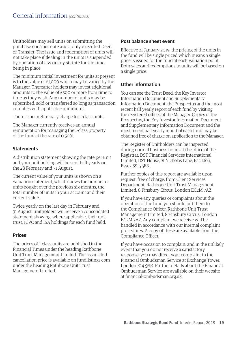Unitholders may sell units on submitting the purchase contract note and a duly executed Deed of Transfer. The issue and redemption of units will not take place if dealing in the units is suspended by operation of law or any statute for the time being in place.

The minimum initial investment for units at present is to the value of £1,000 which may be varied by the Manager. Thereafter holders may invest additional amounts to the value of £500 or more from time to time as they wish. Any number of units may be subscribed, sold or transferred so long as transaction complies with applicable minimums.

There is no preliminary charge for I-class units.

The Manager currently receives an annual remuneration for managing the I-class property of the fund at the rate of 0.50%.

#### **Statements**

A distribution statement showing the rate per unit and your unit holding will be sent half yearly on the 28 February and 31 August.

The current value of your units is shown on a valuation statement, which shows the number of units bought over the previous six months, the total number of units in your account and their current value.

Twice yearly on the last day in February and 31 August, unitholders will receive a consolidated statement showing, where applicable, their unit trust, ICVC and ISA holdings for each fund held.

#### **Prices**

The prices of I-class units are published in the Financial Times under the heading Rathbone Unit Trust Management Limited. The associated cancellation price is available on fundlistings.com under the heading Rathbone Unit Trust Management Limited.

#### **Post balance sheet event**

Effective 21 January 2019, the pricing of the units in the fund will be single priced which means a single price is issued for the fund at each valuation point. Both sales and redemptions in units will be based on a single price.

#### **Other information**

You can see the Trust Deed, the Key Investor Information Document and Supplementary Information Document, the Prospectus and the most recent half yearly report of each fund by visiting the registered offices of the Manager. Copies of the Prospectus, the Key Investor Information Document and Supplementary Information Document and the most recent half yearly report of each fund may be obtained free of charge on application to the Manager.

The Register of Unitholders can be inspected during normal business hours at the office of the Registrar, DST Financial Services International Limited, DST House, St Nicholas Lane, Basildon, Essex SS15 5FS.

Further copies of this report are available upon request, free of charge, from Client Services Department, Rathbone Unit Trust Management Limited, 8 Finsbury Circus, London EC2M 7AZ.

If you have any queries or complaints about the operation of the fund you should put them to the Compliance Officer, Rathbone Unit Trust Management Limited, 8 Finsbury Circus, London EC2M 7AZ. Any complaint we receive will be handled in accordance with our internal complaint procedures. A copy of these are available from the Compliance Officer.

If you have occasion to complain, and in the unlikely event that you do not receive a satisfactory response, you may direct your complaint to the Financial Ombudsman Service at Exchange Tower, London E14 9SR. Further details about the Financial Ombudsman Service are available on their website at financial-ombudsman.org.uk.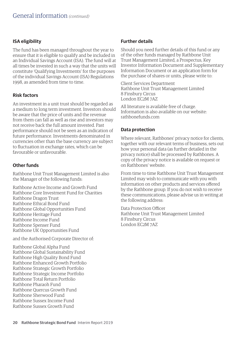#### **ISA eligibility**

The fund has been managed throughout the year to ensure that it is eligible to qualify and be included in an Individual Savings Account (ISA). The fund will at all times be invested in such a way that the units will constitute 'Qualifying Investments' for the purposes of the individual Savings Account (ISA) Regulations 1998, as amended from time to time.

#### **Risk factors**

An investment in a unit trust should be regarded as a medium to long term investment. Investors should be aware that the price of units and the revenue from them can fall as well as rise and investors may not receive back the full amount invested. Past performance should not be seen as an indication of future performance. Investments denominated in currencies other than the base currency are subject to fluctuation in exchange rates, which can be favourable or unfavourable.

#### **Other funds**

Rathbone Unit Trust Management Limited is also the Manager of the following funds:

Rathbone Active Income and Growth Fund Rathbone Core Investment Fund for Charities Rathbone Dragon Trust Rathbone Ethical Bond Fund Rathbone Global Opportunities Fund Rathbone Heritage Fund Rathbone Income Fund Rathbone Spenser Fund Rathbone UK Opportunities Fund

and the Authorised Corporate Director of:

Rathbone Global Alpha Fund Rathbone Global Sustainability Fund Rathbone High Quality Bond Fund Rathbone Enhanced Growth Portfolio Rathbone Strategic Growth Portfolio Rathbone Strategic Income Portfolio Rathbone Total Return Portfolio Rathbone Pharaoh Fund Rathbone Quercus Growth Fund Rathbone Sherwood Fund Rathbone Sussex Income Fund Rathbone Sussex Growth Fund

#### **Further details**

Should you need further details of this fund or any of the other funds managed by Rathbone Unit Trust Management Limited, a Prospectus, Key Investor Information Document and Supplementary Information Document or an application form for the purchase of shares or units, please write to:

Client Services Department Rathbone Unit Trust Management Limited 8 Finsbury Circus London EC2M 7AZ

All literature is available free of charge. Information is also available on our website: rathbonefunds.com

#### **Data protection**

Where relevant, Rathbones' privacy notice for clients, together with our relevant terms of business, sets out how your personal data (as further detailed in the privacy notice) shall be processed by Rathbones. A copy of the privacy notice is available on request or on Rathbones' website.

From time to time Rathbone Unit Trust Management Limited may wish to communicate with you with information on other products and services offered by the Rathbone group. If you do not wish to receive these communications, please advise us in writing at the following address:

Data Protection Officer Rathbone Unit Trust Management Limited 8 Finsbury Circus London EC2M 7AZ